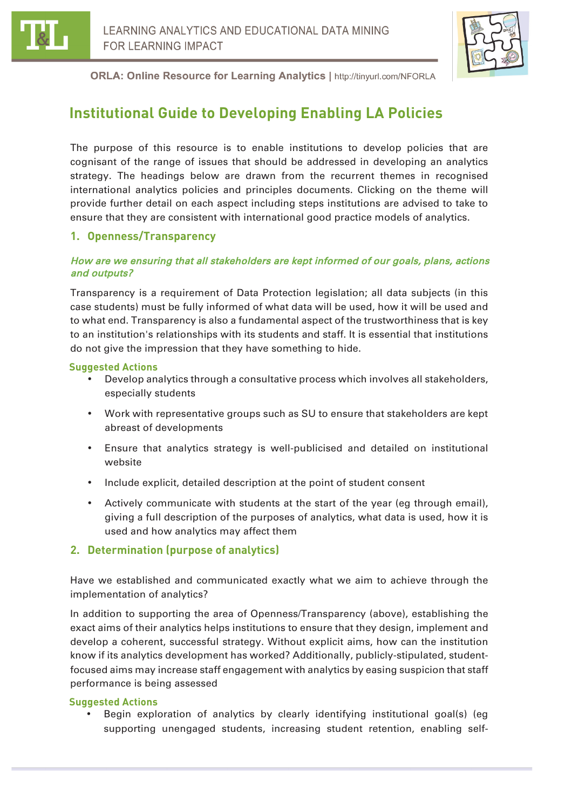



# **Institutional Guide to Developing Enabling LA Policies**

The purpose of this resource is to enable institutions to develop policies that are cognisant of the range of issues that should be addressed in developing an analytics strategy. The headings below are drawn from the recurrent themes in recognised international analytics policies and principles documents. Clicking on the theme will provide further detail on each aspect including steps institutions are advised to take to ensure that they are consistent with international good practice models of analytics.

# **1. Openness/Transparency**

### How are we ensuring that all stakeholders are kept informed of our goals, plans, actions and outputs?

Transparency is a requirement of Data Protection legislation; all data subjects (in this case students) must be fully informed of what data will be used, how it will be used and to what end. Transparency is also a fundamental aspect of the trustworthiness that is key to an institution's relationships with its students and staff. It is essential that institutions do not give the impression that they have something to hide.

#### **Suggested Actions**

- Develop analytics through a consultative process which involves all stakeholders, especially students
- Work with representative groups such as SU to ensure that stakeholders are kept abreast of developments
- Ensure that analytics strategy is well-publicised and detailed on institutional website
- Include explicit, detailed description at the point of student consent
- Actively communicate with students at the start of the year (eg through email), giving a full description of the purposes of analytics, what data is used, how it is used and how analytics may affect them

# **2. Determination (purpose of analytics)**

Have we established and communicated exactly what we aim to achieve through the implementation of analytics?

In addition to supporting the area of Openness/Transparency (above), establishing the exact aims of their analytics helps institutions to ensure that they design, implement and develop a coherent, successful strategy. Without explicit aims, how can the institution know if its analytics development has worked? Additionally, publicly-stipulated, studentfocused aims may increase staff engagement with analytics by easing suspicion that staff performance is being assessed

### **Suggested Actions**

• Begin exploration of analytics by clearly identifying institutional goal(s) (eg supporting unengaged students, increasing student retention, enabling self-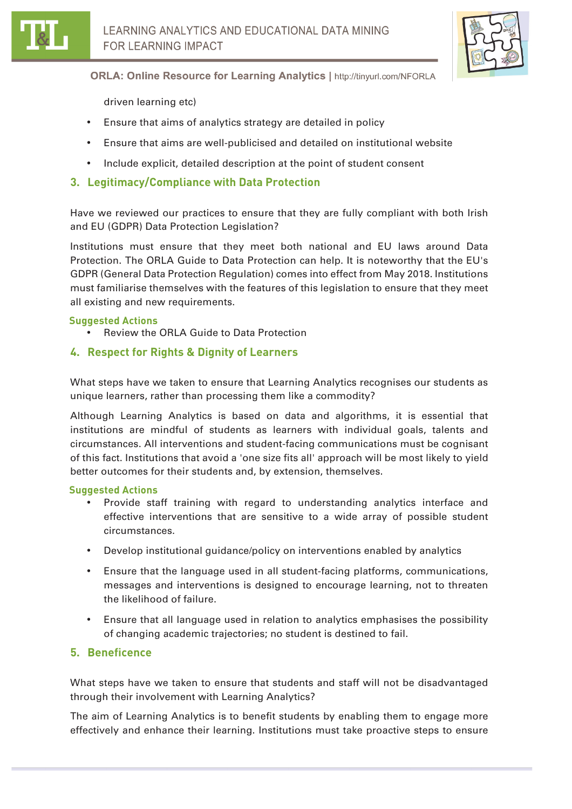

driven learning etc)

- Ensure that aims of analytics strategy are detailed in policy
- Ensure that aims are well-publicised and detailed on institutional website
- Include explicit, detailed description at the point of student consent
- **3. Legitimacy/Compliance with Data Protection**

Have we reviewed our practices to ensure that they are fully compliant with both Irish and EU (GDPR) Data Protection Legislation?

Institutions must ensure that they meet both national and EU laws around Data Protection. The ORLA Guide to Data Protection can help. It is noteworthy that the EU's GDPR (General Data Protection Regulation) comes into effect from May 2018. Institutions must familiarise themselves with the features of this legislation to ensure that they meet all existing and new requirements.

#### **Suggested Actions**

- Review the ORLA Guide to Data Protection
- **4. Respect for Rights & Dignity of Learners**

What steps have we taken to ensure that Learning Analytics recognises our students as unique learners, rather than processing them like a commodity?

Although Learning Analytics is based on data and algorithms, it is essential that institutions are mindful of students as learners with individual goals, talents and circumstances. All interventions and student-facing communications must be cognisant of this fact. Institutions that avoid a 'one size fits all' approach will be most likely to yield better outcomes for their students and, by extension, themselves.

#### **Suggested Actions**

- Provide staff training with regard to understanding analytics interface and effective interventions that are sensitive to a wide array of possible student circumstances.
- Develop institutional guidance/policy on interventions enabled by analytics
- Ensure that the language used in all student-facing platforms, communications, messages and interventions is designed to encourage learning, not to threaten the likelihood of failure.
- Ensure that all language used in relation to analytics emphasises the possibility of changing academic trajectories; no student is destined to fail.

### **5. Beneficence**

What steps have we taken to ensure that students and staff will not be disadvantaged through their involvement with Learning Analytics?

The aim of Learning Analytics is to benefit students by enabling them to engage more effectively and enhance their learning. Institutions must take proactive steps to ensure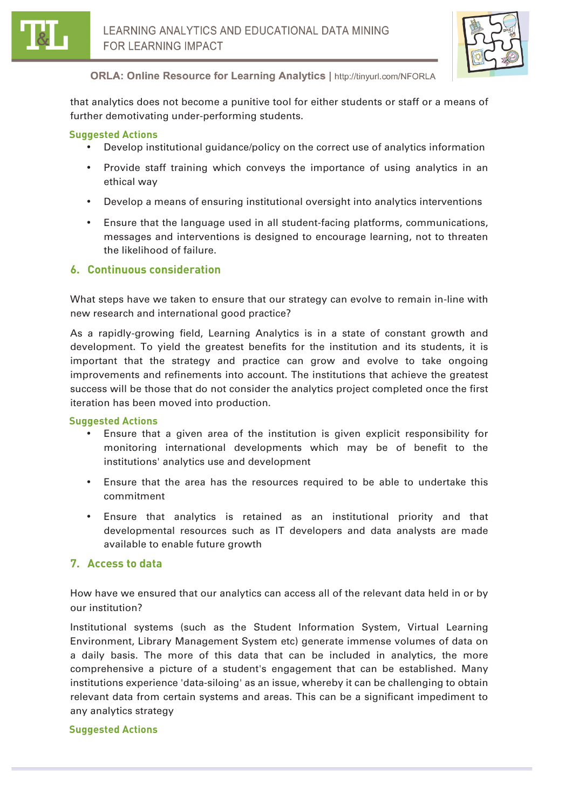



that analytics does not become a punitive tool for either students or staff or a means of further demotivating under-performing students.

#### **Suggested Actions**

- Develop institutional guidance/policy on the correct use of analytics information
- Provide staff training which conveys the importance of using analytics in an ethical way
- Develop a means of ensuring institutional oversight into analytics interventions
- Ensure that the language used in all student-facing platforms, communications, messages and interventions is designed to encourage learning, not to threaten the likelihood of failure.

#### **6. Continuous consideration**

What steps have we taken to ensure that our strategy can evolve to remain in-line with new research and international good practice?

As a rapidly-growing field, Learning Analytics is in a state of constant growth and development. To yield the greatest benefits for the institution and its students, it is important that the strategy and practice can grow and evolve to take ongoing improvements and refinements into account. The institutions that achieve the greatest success will be those that do not consider the analytics project completed once the first iteration has been moved into production.

#### **Suggested Actions**

- Ensure that a given area of the institution is given explicit responsibility for monitoring international developments which may be of benefit to the institutions' analytics use and development
- Ensure that the area has the resources required to be able to undertake this commitment
- Ensure that analytics is retained as an institutional priority and that developmental resources such as IT developers and data analysts are made available to enable future growth

### **7. Access to data**

How have we ensured that our analytics can access all of the relevant data held in or by our institution?

Institutional systems (such as the Student Information System, Virtual Learning Environment, Library Management System etc) generate immense volumes of data on a daily basis. The more of this data that can be included in analytics, the more comprehensive a picture of a student's engagement that can be established. Many institutions experience 'data-siloing' as an issue, whereby it can be challenging to obtain relevant data from certain systems and areas. This can be a significant impediment to any analytics strategy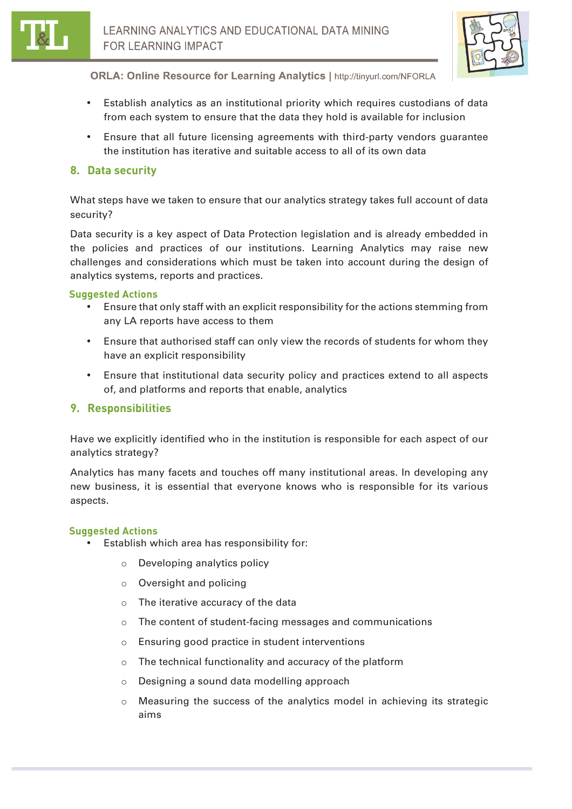

- Establish analytics as an institutional priority which requires custodians of data from each system to ensure that the data they hold is available for inclusion
- Ensure that all future licensing agreements with third-party vendors guarantee the institution has iterative and suitable access to all of its own data

# **8. Data security**

What steps have we taken to ensure that our analytics strategy takes full account of data security?

Data security is a key aspect of Data Protection legislation and is already embedded in the policies and practices of our institutions. Learning Analytics may raise new challenges and considerations which must be taken into account during the design of analytics systems, reports and practices.

#### **Suggested Actions**

- Ensure that only staff with an explicit responsibility for the actions stemming from any LA reports have access to them
- Ensure that authorised staff can only view the records of students for whom they have an explicit responsibility
- Ensure that institutional data security policy and practices extend to all aspects of, and platforms and reports that enable, analytics

### **9. Responsibilities**

Have we explicitly identified who in the institution is responsible for each aspect of our analytics strategy?

Analytics has many facets and touches off many institutional areas. In developing any new business, it is essential that everyone knows who is responsible for its various aspects.

- Establish which area has responsibility for:
	- o Developing analytics policy
	- o Oversight and policing
	- o The iterative accuracy of the data
	- o The content of student-facing messages and communications
	- o Ensuring good practice in student interventions
	- o The technical functionality and accuracy of the platform
	- o Designing a sound data modelling approach
	- $\circ$  Measuring the success of the analytics model in achieving its strategic aims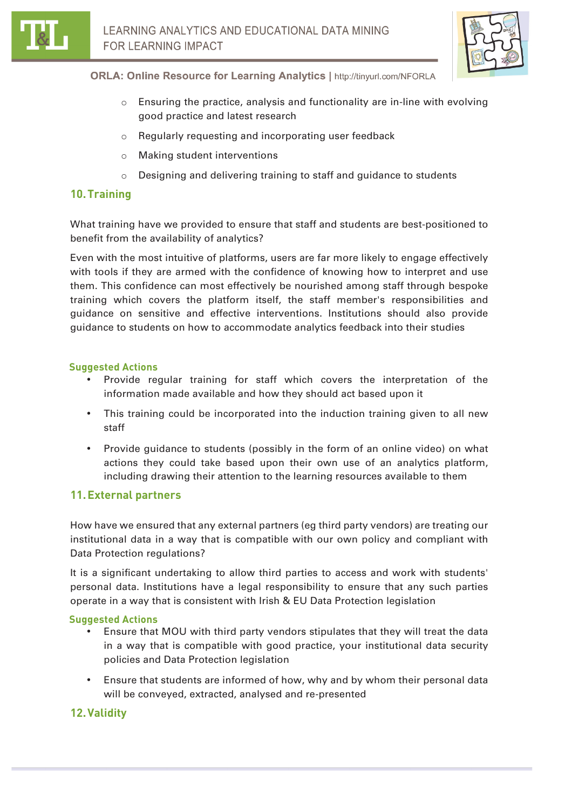

- $\circ$  Ensuring the practice, analysis and functionality are in-line with evolving good practice and latest research
- o Regularly requesting and incorporating user feedback
- o Making student interventions
- $\circ$  Designing and delivering training to staff and guidance to students

# **10.Training**

What training have we provided to ensure that staff and students are best-positioned to benefit from the availability of analytics?

Even with the most intuitive of platforms, users are far more likely to engage effectively with tools if they are armed with the confidence of knowing how to interpret and use them. This confidence can most effectively be nourished among staff through bespoke training which covers the platform itself, the staff member's responsibilities and guidance on sensitive and effective interventions. Institutions should also provide guidance to students on how to accommodate analytics feedback into their studies

#### **Suggested Actions**

- Provide regular training for staff which covers the interpretation of the information made available and how they should act based upon it
- This training could be incorporated into the induction training given to all new staff
- Provide guidance to students (possibly in the form of an online video) on what actions they could take based upon their own use of an analytics platform, including drawing their attention to the learning resources available to them

# **11.External partners**

How have we ensured that any external partners (eg third party vendors) are treating our institutional data in a way that is compatible with our own policy and compliant with Data Protection regulations?

It is a significant undertaking to allow third parties to access and work with students' personal data. Institutions have a legal responsibility to ensure that any such parties operate in a way that is consistent with Irish & EU Data Protection legislation

### **Suggested Actions**

- Ensure that MOU with third party vendors stipulates that they will treat the data in a way that is compatible with good practice, your institutional data security policies and Data Protection legislation
- Ensure that students are informed of how, why and by whom their personal data will be conveyed, extracted, analysed and re-presented

# **12.Validity**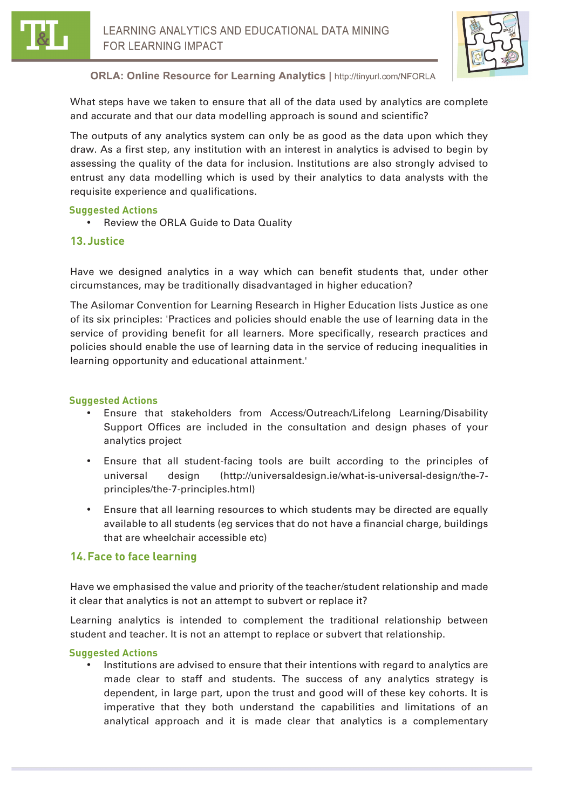



What steps have we taken to ensure that all of the data used by analytics are complete and accurate and that our data modelling approach is sound and scientific?

The outputs of any analytics system can only be as good as the data upon which they draw. As a first step, any institution with an interest in analytics is advised to begin by assessing the quality of the data for inclusion. Institutions are also strongly advised to entrust any data modelling which is used by their analytics to data analysts with the requisite experience and qualifications.

#### **Suggested Actions**

• Review the ORLA Guide to Data Quality

#### **13.Justice**

Have we designed analytics in a way which can benefit students that, under other circumstances, may be traditionally disadvantaged in higher education?

The Asilomar Convention for Learning Research in Higher Education lists Justice as one of its six principles: 'Practices and policies should enable the use of learning data in the service of providing benefit for all learners. More specifically, research practices and policies should enable the use of learning data in the service of reducing inequalities in learning opportunity and educational attainment.'

#### **Suggested Actions**

- Ensure that stakeholders from Access/Outreach/Lifelong Learning/Disability Support Offices are included in the consultation and design phases of your analytics project
- Ensure that all student-facing tools are built according to the principles of universal design (http://universaldesign.ie/what-is-universal-design/the-7 principles/the-7-principles.html)
- Ensure that all learning resources to which students may be directed are equally available to all students (eg services that do not have a financial charge, buildings that are wheelchair accessible etc)

### **14.Face to face learning**

Have we emphasised the value and priority of the teacher/student relationship and made it clear that analytics is not an attempt to subvert or replace it?

Learning analytics is intended to complement the traditional relationship between student and teacher. It is not an attempt to replace or subvert that relationship.

#### **Suggested Actions**

• Institutions are advised to ensure that their intentions with regard to analytics are made clear to staff and students. The success of any analytics strategy is dependent, in large part, upon the trust and good will of these key cohorts. It is imperative that they both understand the capabilities and limitations of an analytical approach and it is made clear that analytics is a complementary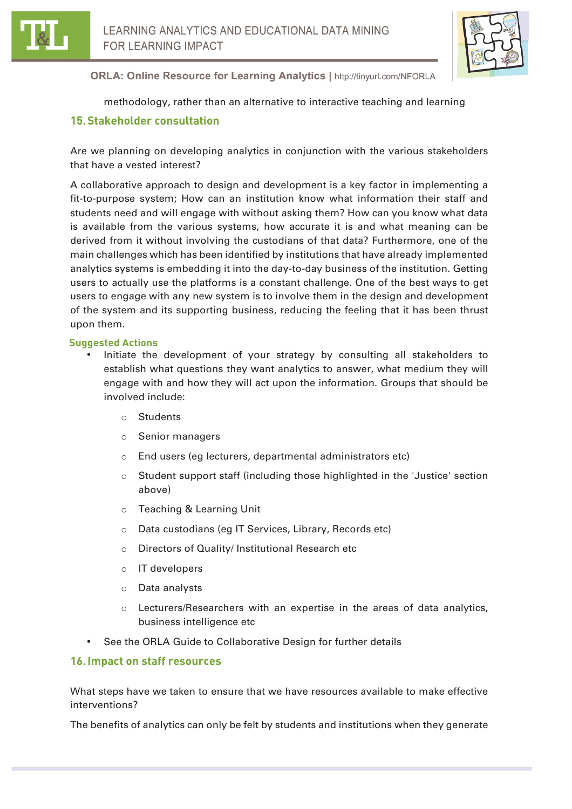



methodology, rather than an alternative to interactive teaching and learning

# **15.Stakeholder consultation**

Are we planning on developing analytics in conjunction with the various stakeholders that have a vested interest?

A collaborative approach to design and development is a key factor in implementing a fit-to-purpose system; How can an institution know what information their staff and students need and will engage with without asking them? How can you know what data is available from the various systems, how accurate it is and what meaning can be derived from it without involving the custodians of that data? Furthermore, one of the main challenges which has been identified by institutions that have already implemented analytics systems is embedding it into the day-to-day business of the institution. Getting users to actually use the platforms is a constant challenge. One of the best ways to get users to engage with any new system is to involve them in the design and development of the system and its supporting business, reducing the feeling that it has been thrust upon them.

#### **Suggested Actions**

- Initiate the development of your strategy by consulting all stakeholders to establish what questions they want analytics to answer, what medium they will engage with and how they will act upon the information. Groups that should be involved include:
	- o Students
	- o Senior managers
	- o End users (eg lecturers, departmental administrators etc)
	- o Student support staff (including those highlighted in the 'Justice' section above)
	- o Teaching & Learning Unit
	- o Data custodians (eg IT Services, Library, Records etc)
	- o Directors of Quality/ Institutional Research etc
	- o IT developers
	- o Data analysts
	- o Lecturers/Researchers with an expertise in the areas of data analytics, business intelligence etc
- See the ORLA Guide to Collaborative Design for further details

### **16.Impact on staff resources**

What steps have we taken to ensure that we have resources available to make effective interventions?

The benefits of analytics can only be felt by students and institutions when they generate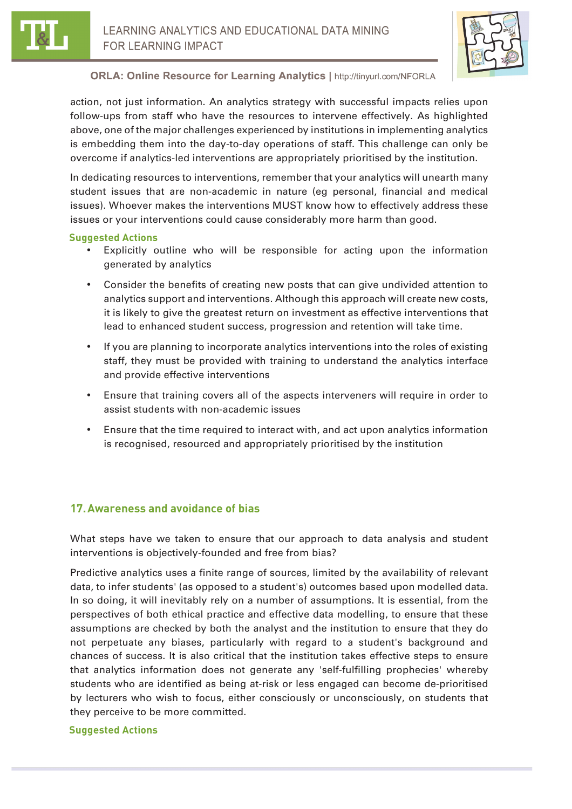



action, not just information. An analytics strategy with successful impacts relies upon follow-ups from staff who have the resources to intervene effectively. As highlighted above, one of the major challenges experienced by institutions in implementing analytics is embedding them into the day-to-day operations of staff. This challenge can only be overcome if analytics-led interventions are appropriately prioritised by the institution.

In dedicating resources to interventions, remember that your analytics will unearth many student issues that are non-academic in nature (eg personal, financial and medical issues). Whoever makes the interventions MUST know how to effectively address these issues or your interventions could cause considerably more harm than good.

#### **Suggested Actions**

- Explicitly outline who will be responsible for acting upon the information generated by analytics
- Consider the benefits of creating new posts that can give undivided attention to analytics support and interventions. Although this approach will create new costs, it is likely to give the greatest return on investment as effective interventions that lead to enhanced student success, progression and retention will take time.
- If you are planning to incorporate analytics interventions into the roles of existing staff, they must be provided with training to understand the analytics interface and provide effective interventions
- Ensure that training covers all of the aspects interveners will require in order to assist students with non-academic issues
- Ensure that the time required to interact with, and act upon analytics information is recognised, resourced and appropriately prioritised by the institution

# **17.Awareness and avoidance of bias**

What steps have we taken to ensure that our approach to data analysis and student interventions is objectively-founded and free from bias?

Predictive analytics uses a finite range of sources, limited by the availability of relevant data, to infer students' (as opposed to a student's) outcomes based upon modelled data. In so doing, it will inevitably rely on a number of assumptions. It is essential, from the perspectives of both ethical practice and effective data modelling, to ensure that these assumptions are checked by both the analyst and the institution to ensure that they do not perpetuate any biases, particularly with regard to a student's background and chances of success. It is also critical that the institution takes effective steps to ensure that analytics information does not generate any 'self-fulfilling prophecies' whereby students who are identified as being at-risk or less engaged can become de-prioritised by lecturers who wish to focus, either consciously or unconsciously, on students that they perceive to be more committed.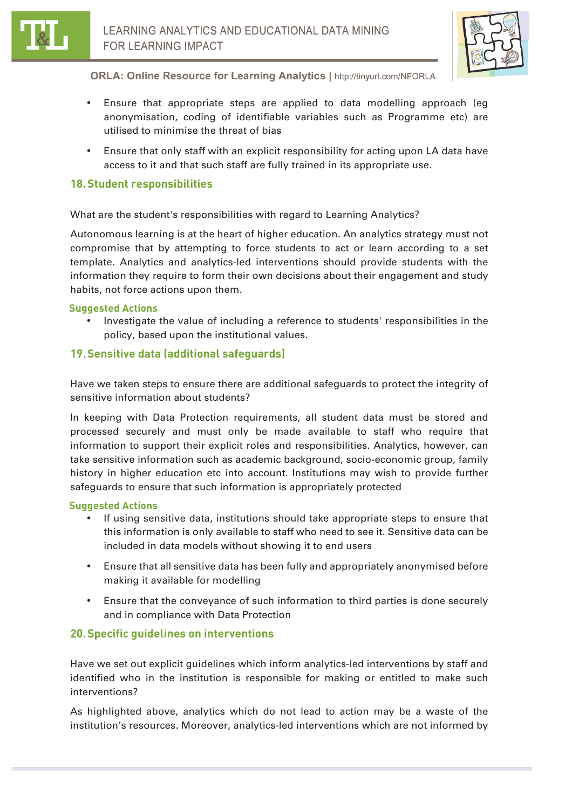

- Ensure that appropriate steps are applied to data modelling approach (eg anonymisation, coding of identifiable variables such as Programme etc) are utilised to minimise the threat of bias
- Ensure that only staff with an explicit responsibility for acting upon LA data have access to it and that such staff are fully trained in its appropriate use.

### **18.Student responsibilities**

What are the student's responsibilities with regard to Learning Analytics?

Autonomous learning is at the heart of higher education. An analytics strategy must not compromise that by attempting to force students to act or learn according to a set template. Analytics and analytics-led interventions should provide students with the information they require to form their own decisions about their engagement and study habits, not force actions upon them.

#### **Suggested Actions**

• Investigate the value of including a reference to students' responsibilities in the policy, based upon the institutional values.

# **19.Sensitive data (additional safeguards)**

Have we taken steps to ensure there are additional safeguards to protect the integrity of sensitive information about students?

In keeping with Data Protection requirements, all student data must be stored and processed securely and must only be made available to staff who require that information to support their explicit roles and responsibilities. Analytics, however, can take sensitive information such as academic background, socio-economic group, family history in higher education etc into account. Institutions may wish to provide further safeguards to ensure that such information is appropriately protected

#### **Suggested Actions**

- If using sensitive data, institutions should take appropriate steps to ensure that this information is only available to staff who need to see it. Sensitive data can be included in data models without showing it to end users
- Ensure that all sensitive data has been fully and appropriately anonymised before making it available for modelling
- Ensure that the conveyance of such information to third parties is done securely and in compliance with Data Protection

### **20.Specific guidelines on interventions**

Have we set out explicit guidelines which inform analytics-led interventions by staff and identified who in the institution is responsible for making or entitled to make such interventions?

As highlighted above, analytics which do not lead to action may be a waste of the institution's resources. Moreover, analytics-led interventions which are not informed by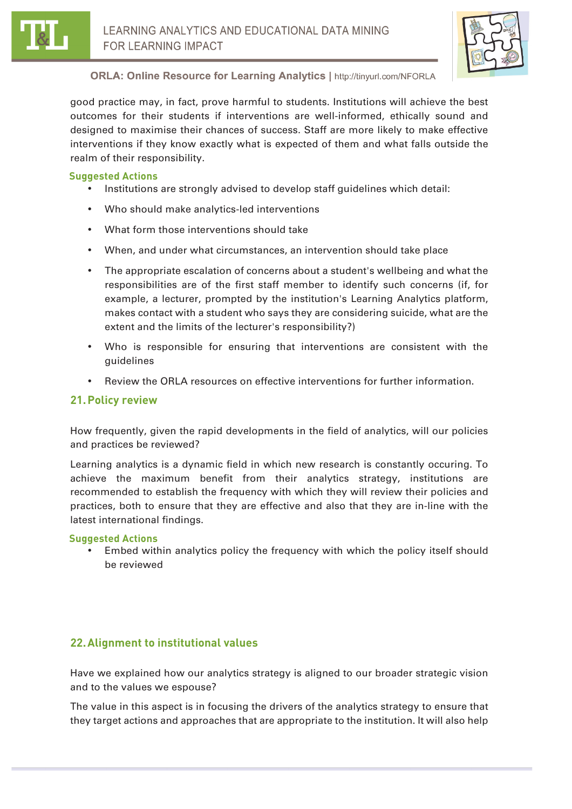



good practice may, in fact, prove harmful to students. Institutions will achieve the best outcomes for their students if interventions are well-informed, ethically sound and designed to maximise their chances of success. Staff are more likely to make effective interventions if they know exactly what is expected of them and what falls outside the realm of their responsibility.

### **Suggested Actions**

- Institutions are strongly advised to develop staff guidelines which detail:
- Who should make analytics-led interventions
- What form those interventions should take
- When, and under what circumstances, an intervention should take place
- The appropriate escalation of concerns about a student's wellbeing and what the responsibilities are of the first staff member to identify such concerns (if, for example, a lecturer, prompted by the institution's Learning Analytics platform, makes contact with a student who says they are considering suicide, what are the extent and the limits of the lecturer's responsibility?)
- Who is responsible for ensuring that interventions are consistent with the guidelines
- Review the ORLA resources on effective interventions for further information.

# **21.Policy review**

How frequently, given the rapid developments in the field of analytics, will our policies and practices be reviewed?

Learning analytics is a dynamic field in which new research is constantly occuring. To achieve the maximum benefit from their analytics strategy, institutions are recommended to establish the frequency with which they will review their policies and practices, both to ensure that they are effective and also that they are in-line with the latest international findings.

#### **Suggested Actions**

• Embed within analytics policy the frequency with which the policy itself should be reviewed

# **22.Alignment to institutional values**

Have we explained how our analytics strategy is aligned to our broader strategic vision and to the values we espouse?

The value in this aspect is in focusing the drivers of the analytics strategy to ensure that they target actions and approaches that are appropriate to the institution. It will also help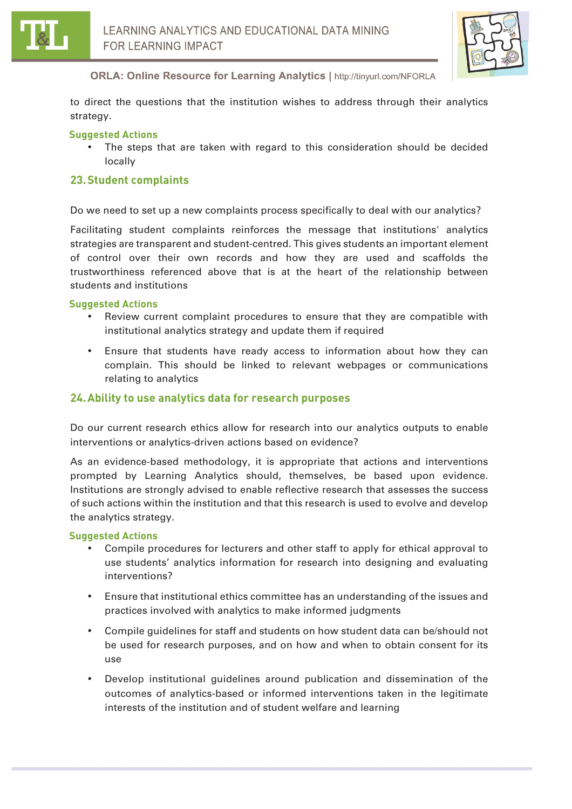



to direct the questions that the institution wishes to address through their analytics strategy.

#### **Suggested Actions**

The steps that are taken with regard to this consideration should be decided locally

### **23.Student complaints**

Do we need to set up a new complaints process specifically to deal with our analytics?

Facilitating student complaints reinforces the message that institutions' analytics strategies are transparent and student-centred. This gives students an important element of control over their own records and how they are used and scaffolds the trustworthiness referenced above that is at the heart of the relationship between students and institutions

#### **Suggested Actions**

- Review current complaint procedures to ensure that they are compatible with institutional analytics strategy and update them if required
- Ensure that students have ready access to information about how they can complain. This should be linked to relevant webpages or communications relating to analytics

#### **24.Ability to use analytics data for research purposes**

Do our current research ethics allow for research into our analytics outputs to enable interventions or analytics-driven actions based on evidence?

As an evidence-based methodology, it is appropriate that actions and interventions prompted by Learning Analytics should, themselves, be based upon evidence. Institutions are strongly advised to enable reflective research that assesses the success of such actions within the institution and that this research is used to evolve and develop the analytics strategy.

- Compile procedures for lecturers and other staff to apply for ethical approval to use students' analytics information for research into designing and evaluating interventions?
- Ensure that institutional ethics committee has an understanding of the issues and practices involved with analytics to make informed judgments
- Compile guidelines for staff and students on how student data can be/should not be used for research purposes, and on how and when to obtain consent for its use
- Develop institutional guidelines around publication and dissemination of the outcomes of analytics-based or informed interventions taken in the legitimate interests of the institution and of student welfare and learning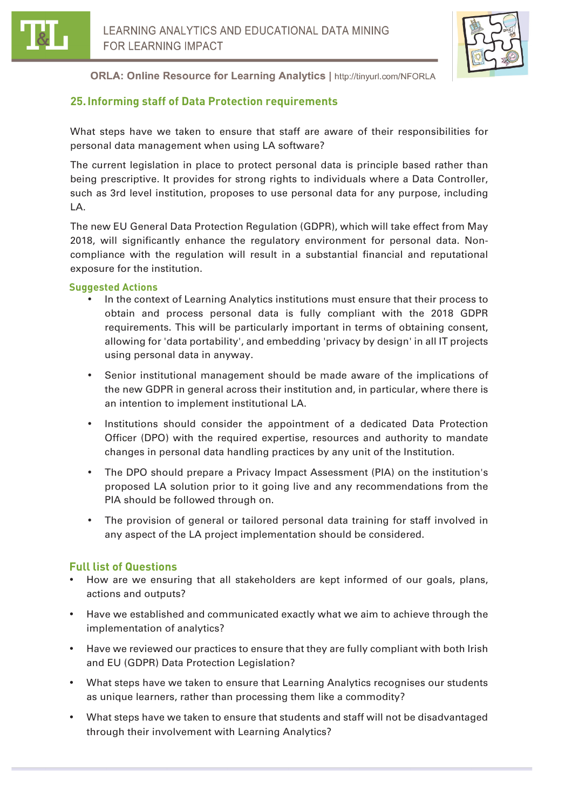

# **25.Informing staff of Data Protection requirements**

What steps have we taken to ensure that staff are aware of their responsibilities for personal data management when using LA software?

The current legislation in place to protect personal data is principle based rather than being prescriptive. It provides for strong rights to individuals where a Data Controller, such as 3rd level institution, proposes to use personal data for any purpose, including LA.

The new EU General Data Protection Regulation (GDPR), which will take effect from May 2018, will significantly enhance the regulatory environment for personal data. Noncompliance with the regulation will result in a substantial financial and reputational exposure for the institution.

#### **Suggested Actions**

- In the context of Learning Analytics institutions must ensure that their process to obtain and process personal data is fully compliant with the 2018 GDPR requirements. This will be particularly important in terms of obtaining consent, allowing for 'data portability', and embedding 'privacy by design' in all IT projects using personal data in anyway.
- Senior institutional management should be made aware of the implications of the new GDPR in general across their institution and, in particular, where there is an intention to implement institutional LA.
- Institutions should consider the appointment of a dedicated Data Protection Officer (DPO) with the required expertise, resources and authority to mandate changes in personal data handling practices by any unit of the Institution.
- The DPO should prepare a Privacy Impact Assessment (PIA) on the institution's proposed LA solution prior to it going live and any recommendations from the PIA should be followed through on.
- The provision of general or tailored personal data training for staff involved in any aspect of the LA project implementation should be considered.

# **Full list of Questions**

- How are we ensuring that all stakeholders are kept informed of our goals, plans, actions and outputs?
- Have we established and communicated exactly what we aim to achieve through the implementation of analytics?
- Have we reviewed our practices to ensure that they are fully compliant with both Irish and EU (GDPR) Data Protection Legislation?
- What steps have we taken to ensure that Learning Analytics recognises our students as unique learners, rather than processing them like a commodity?
- What steps have we taken to ensure that students and staff will not be disadvantaged through their involvement with Learning Analytics?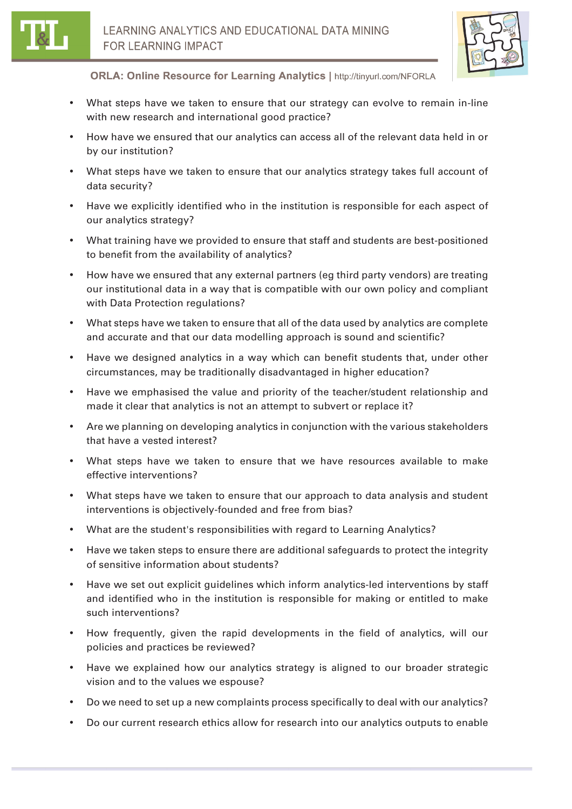

- What steps have we taken to ensure that our strategy can evolve to remain in-line with new research and international good practice?
- How have we ensured that our analytics can access all of the relevant data held in or by our institution?
- What steps have we taken to ensure that our analytics strategy takes full account of data security?
- Have we explicitly identified who in the institution is responsible for each aspect of our analytics strategy?
- What training have we provided to ensure that staff and students are best-positioned to benefit from the availability of analytics?
- How have we ensured that any external partners (eg third party vendors) are treating our institutional data in a way that is compatible with our own policy and compliant with Data Protection regulations?
- What steps have we taken to ensure that all of the data used by analytics are complete and accurate and that our data modelling approach is sound and scientific?
- Have we designed analytics in a way which can benefit students that, under other circumstances, may be traditionally disadvantaged in higher education?
- Have we emphasised the value and priority of the teacher/student relationship and made it clear that analytics is not an attempt to subvert or replace it?
- Are we planning on developing analytics in conjunction with the various stakeholders that have a vested interest?
- What steps have we taken to ensure that we have resources available to make effective interventions?
- What steps have we taken to ensure that our approach to data analysis and student interventions is objectively-founded and free from bias?
- What are the student's responsibilities with regard to Learning Analytics?
- Have we taken steps to ensure there are additional safeguards to protect the integrity of sensitive information about students?
- Have we set out explicit guidelines which inform analytics-led interventions by staff and identified who in the institution is responsible for making or entitled to make such interventions?
- How frequently, given the rapid developments in the field of analytics, will our policies and practices be reviewed?
- Have we explained how our analytics strategy is aligned to our broader strategic vision and to the values we espouse?
- Do we need to set up a new complaints process specifically to deal with our analytics?
- Do our current research ethics allow for research into our analytics outputs to enable